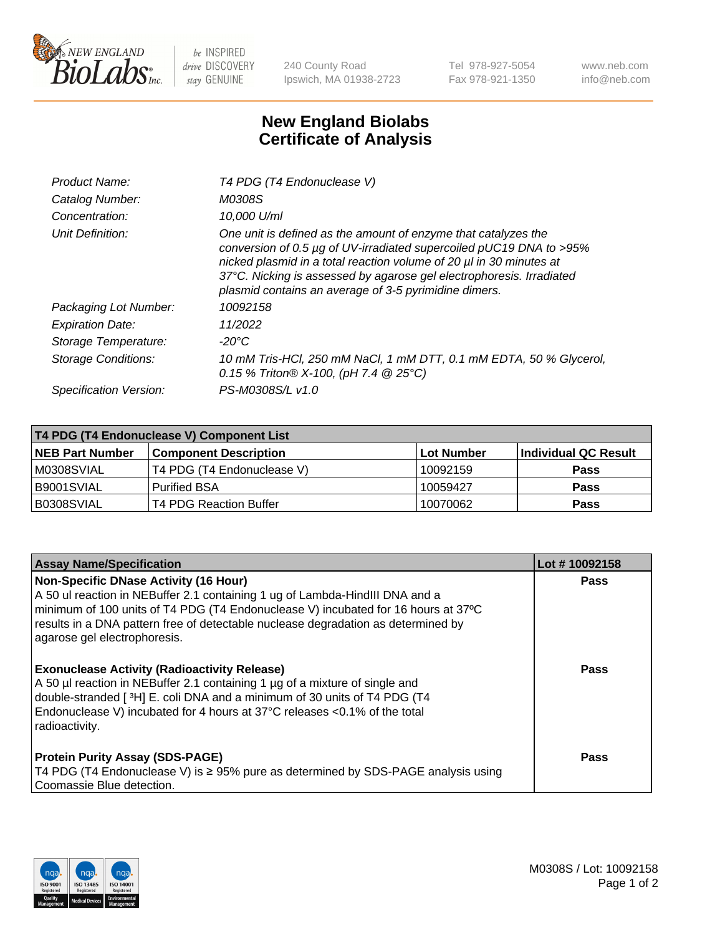

 $be$  INSPIRED drive DISCOVERY stay GENUINE

240 County Road Ipswich, MA 01938-2723 Tel 978-927-5054 Fax 978-921-1350 www.neb.com info@neb.com

## **New England Biolabs Certificate of Analysis**

| Product Name:              | T4 PDG (T4 Endonuclease V)                                                                                                                                                                                                                                                                                                                    |
|----------------------------|-----------------------------------------------------------------------------------------------------------------------------------------------------------------------------------------------------------------------------------------------------------------------------------------------------------------------------------------------|
| Catalog Number:            | M0308S                                                                                                                                                                                                                                                                                                                                        |
| Concentration:             | 10.000 U/ml                                                                                                                                                                                                                                                                                                                                   |
| Unit Definition:           | One unit is defined as the amount of enzyme that catalyzes the<br>conversion of 0.5 µg of UV-irradiated supercoiled pUC19 DNA to >95%<br>nicked plasmid in a total reaction volume of 20 µl in 30 minutes at<br>37°C. Nicking is assessed by agarose gel electrophoresis. Irradiated<br>plasmid contains an average of 3-5 pyrimidine dimers. |
| Packaging Lot Number:      | 10092158                                                                                                                                                                                                                                                                                                                                      |
| <b>Expiration Date:</b>    | 11/2022                                                                                                                                                                                                                                                                                                                                       |
| Storage Temperature:       | $-20^{\circ}$ C                                                                                                                                                                                                                                                                                                                               |
| <b>Storage Conditions:</b> | 10 mM Tris-HCl, 250 mM NaCl, 1 mM DTT, 0.1 mM EDTA, 50 % Glycerol,<br>0.15 % Triton® X-100, (pH 7.4 @ 25°C)                                                                                                                                                                                                                                   |
| Specification Version:     | PS-M0308S/L v1.0                                                                                                                                                                                                                                                                                                                              |

| T4 PDG (T4 Endonuclease V) Component List |                               |            |                      |  |
|-------------------------------------------|-------------------------------|------------|----------------------|--|
| <b>NEB Part Number</b>                    | <b>Component Description</b>  | Lot Number | Individual QC Result |  |
| IM0308SVIAL                               | T4 PDG (T4 Endonuclease V)    | 10092159   | <b>Pass</b>          |  |
| IB9001SVIAL                               | <b>Purified BSA</b>           | 10059427   | <b>Pass</b>          |  |
| B0308SVIAL                                | <b>T4 PDG Reaction Buffer</b> | 10070062   | Pass                 |  |

| <b>Assay Name/Specification</b>                                                                                                                                                                                                                                                                                                        | Lot #10092158 |
|----------------------------------------------------------------------------------------------------------------------------------------------------------------------------------------------------------------------------------------------------------------------------------------------------------------------------------------|---------------|
| <b>Non-Specific DNase Activity (16 Hour)</b><br>A 50 ul reaction in NEBuffer 2.1 containing 1 ug of Lambda-HindIII DNA and a<br>minimum of 100 units of T4 PDG (T4 Endonuclease V) incubated for 16 hours at 37°C<br>results in a DNA pattern free of detectable nuclease degradation as determined by<br>agarose gel electrophoresis. | <b>Pass</b>   |
| <b>Exonuclease Activity (Radioactivity Release)</b><br>A 50 µl reaction in NEBuffer 2.1 containing 1 µg of a mixture of single and<br>double-stranded [3H] E. coli DNA and a minimum of 30 units of T4 PDG (T4<br>Endonuclease V) incubated for 4 hours at 37°C releases <0.1% of the total<br>radioactivity.                          | <b>Pass</b>   |
| <b>Protein Purity Assay (SDS-PAGE)</b><br>T4 PDG (T4 Endonuclease V) is ≥ 95% pure as determined by SDS-PAGE analysis using<br>Coomassie Blue detection.                                                                                                                                                                               | Pass          |